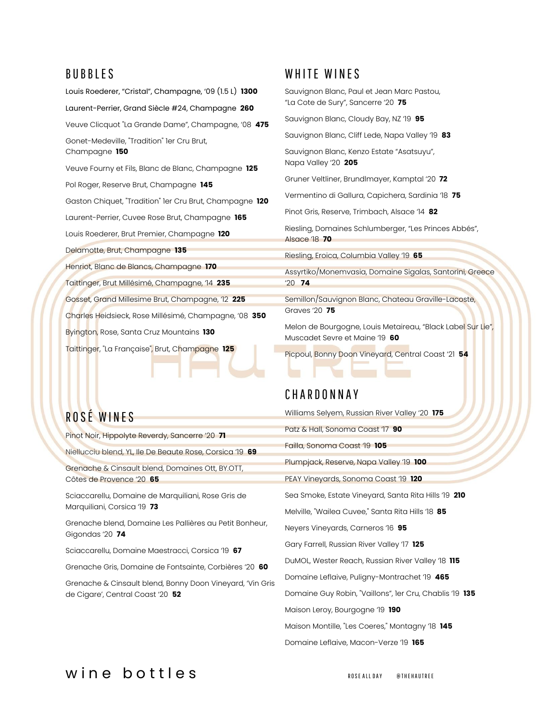### **BUBBLES**

Louis Roederer, "Cristal", Champagne, '09 (1.5 L) **1300** Laurent-Perrier, Grand Siècle #24, Champagne **260** Veuve Clicquot "La Grande Dame", Champagne, '08 **475** Gonet-Medeville, "Tradition" 1er Cru Brut, Champagne **150** Veuve Fourny et Fils, Blanc de Blanc, Champagne **125** Pol Roger, Reserve Brut, Champagne **145** Gaston Chiquet, "Tradition" 1er Cru Brut, Champagne **120** Laurent-Perrier, Cuvee Rose Brut, Champagne **165** Louis Roederer, Brut Premier, Champagne **120** Delamotte, Brut, Champagne **135** Henriot, Blanc de Blancs, Champagne **170** Taittinger, Brut Millésimé, Champagne, '14 **235** Gosset, Grand Millesime Brut, Champagne, '12 **225** Charles Heidsieck, Rose Millésimé, Champagne, '08 **350** Byington, Rose, Santa Cruz Mountains **130** Taittinger, "La Française", Brut, Champagne **125**

# ROSÉ WINES

Pinot Noir, Hippolyte Reverdy, Sancerre '20 **71**

Niellucciu blend, YL, Ile De Beaute Rose, Corsica '19 **69**

Grenache & Cinsault blend, Domaines Ott, BY.OTT, Côtes de Provence '20 **65**

Sciaccarellu, Domaine de Marquiliani, Rose Gris de Marquiliani, Corsica '19 **73**

Grenache blend, Domaine Les Pallières au Petit Bonheur, Gigondas '20 **74**

Sciaccarellu, Domaine Maestracci, Corsica '19 **67**

Grenache Gris, Domaine de Fontsainte, Corbières '20 **60**

Grenache & Cinsault blend, Bonny Doon Vineyard, 'Vin Gris de Cigare', Central Coast '20 **52**

### WHITE WINES

Sauvignon Blanc, Paul et Jean Marc Pastou, "La Cote de Sury", Sancerre '20 **75**

Sauvignon Blanc, Cloudy Bay, NZ '19 **95**

Sauvignon Blanc, Cliff Lede, Napa Valley '19 **83**

Sauvignon Blanc, Kenzo Estate "Asatsuyu", Napa Valley '20 **205**

Gruner Veltliner, Brundlmayer, Kamptal '20 **72**

Vermentino di Gallura, Capichera, Sardinia '18 **75**

Pinot Gris, Reserve, Trimbach, Alsace '14 **82**

Riesling, Domaines Schlumberger, "Les Princes Abbés", Alsace '18 **70**

Riesling, Eroica, Columbia Valley '19 **65**

Assyrtiko/Monemvasia, Domaine Sigalas, Santorini, Greece '20 **74**

Semillon/Sauvignon Blanc, Chateau Graville-Lacoste, Graves '20 **75**

Melon de Bourgogne, Louis Metaireau, "Black Label Sur Lie", Muscadet Sevre et Maine '19 **60**

Picpoul, Bonny Doon Vineyard, Central Coast '21 **54**

### C H AR D O N N AY

Williams Selyem, Russian River Valley '20 **175**

Patz & Hall, Sonoma Coast '17 **90**

Failla, Sonoma Coast '19 **105**

Plumpjack, Reserve, Napa Valley '19 **100**

PEAY Vineyards, Sonoma Coast '19 **120**

Sea Smoke, Estate Vineyard, Santa Rita Hills '19 **210**

Melville, "Wailea Cuvee," Santa Rita Hills '18 **85**

Neyers Vineyards, Carneros '16 **95**

Gary Farrell, Russian River Valley '17 **125**

DuMOL, Wester Reach, Russian River Valley '18 **115**

Domaine Leflaive, Puligny-Montrachet '19 **465**

Domaine Guy Robin, "Vaillons", 1er Cru, Chablis '19 **135**

Maison Leroy, Bourgogne '19 **190**

Maison Montille, "Les Coeres," Montagny '18 **145**

Domaine Leflaive, Macon-Verze '19 **165**

### W in e bottles ROSE ALL DAY AND ROSE ALL DAY OF HE HAUTREE